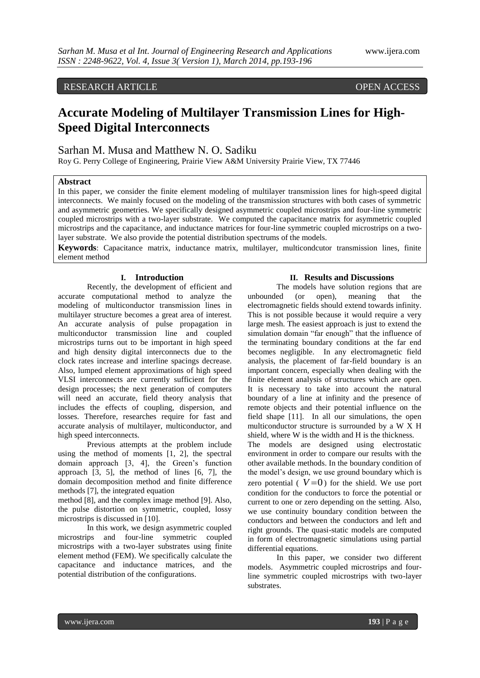# RESEARCH ARTICLE OPEN ACCESS

# **Accurate Modeling of Multilayer Transmission Lines for High-Speed Digital Interconnects**

# Sarhan M. Musa and Matthew N. O. Sadiku

Roy G. Perry College of Engineering, Prairie View A&M University Prairie View, TX 77446

## **Abstract**

In this paper, we consider the finite element modeling of multilayer transmission lines for high-speed digital interconnects. We mainly focused on the modeling of the transmission structures with both cases of symmetric and asymmetric geometries. We specifically designed asymmetric coupled microstrips and four-line symmetric coupled microstrips with a two-layer substrate. We computed the capacitance matrix for asymmetric coupled microstrips and the capacitance, and inductance matrices for four-line symmetric coupled microstrips on a twolayer substrate. We also provide the potential distribution spectrums of the models.

**Keywords**: Capacitance matrix, inductance matrix, multilayer, multicondcutor transmission lines, finite element method

## **I. Introduction**

Recently, the development of efficient and accurate computational method to analyze the modeling of multiconductor transmission lines in multilayer structure becomes a great area of interest. An accurate analysis of pulse propagation in multiconductor transmission line and coupled microstrips turns out to be important in high speed and high density digital interconnects due to the clock rates increase and interline spacings decrease. Also, lumped element approximations of high speed VLSI interconnects are currently sufficient for the design processes; the next generation of computers will need an accurate, field theory analysis that includes the effects of coupling, dispersion, and losses. Therefore, researches require for fast and accurate analysis of multilayer, multiconductor, and high speed interconnects.

Previous attempts at the problem include using the method of moments [1, 2], the spectral domain approach [3, 4], the Green's function approach [3, 5], the method of lines [6, 7], the domain decomposition method and finite difference methods [7], the integrated equation

method [8], and the complex image method [9]. Also, the pulse distortion on symmetric, coupled, lossy microstrips is discussed in [10].

In this work, we design asymmetric coupled microstrips and four-line symmetric coupled microstrips with a two-layer substrates using finite element method (FEM). We specifically calculate the capacitance and inductance matrices, and the potential distribution of the configurations.

#### **II. Results and Discussions**

The models have solution regions that are unbounded (or open), meaning that the electromagnetic fields should extend towards infinity. This is not possible because it would require a very large mesh. The easiest approach is just to extend the simulation domain "far enough" that the influence of the terminating boundary conditions at the far end becomes negligible. In any electromagnetic field analysis, the placement of far-field boundary is an important concern, especially when dealing with the finite element analysis of structures which are open. It is necessary to take into account the natural boundary of a line at infinity and the presence of remote objects and their potential influence on the field shape [11]. In all our simulations, the open multiconductor structure is surrounded by a W X H shield, where W is the width and H is the thickness.

The models are designed using electrostatic environment in order to compare our results with the other available methods. In the boundary condition of the model's design, we use ground boundary which is zero potential  $(V=0)$  for the shield. We use port condition for the conductors to force the potential or current to one or zero depending on the setting. Also, we use continuity boundary condition between the conductors and between the conductors and left and right grounds. The quasi-static models are computed in form of electromagnetic simulations using partial differential equations.

In this paper, we consider two different models. Asymmetric coupled microstrips and fourline symmetric coupled microstrips with two-layer substrates.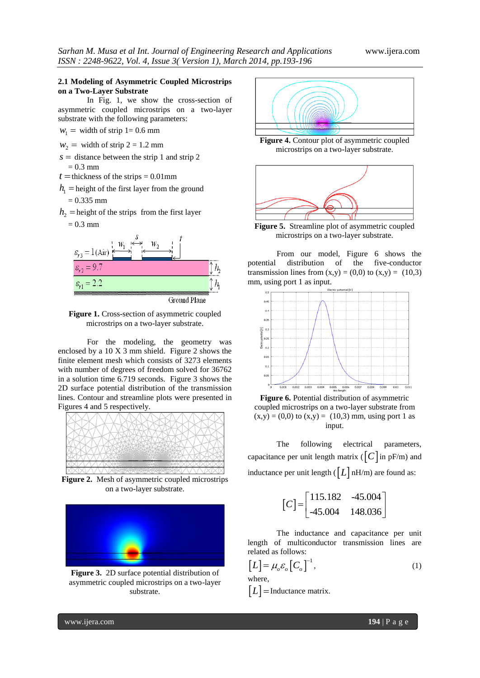#### **2.1 Modeling of Asymmetric Coupled Microstrips on a Two-Layer Substrate**

In Fig. 1, we show the cross-section of asymmetric coupled microstrips on a two-layer substrate with the following parameters:

 $w_1$  = width of strip 1= 0.6 mm

 $w_2$  = width of strip 2 = 1.2 mm

- $s =$  distance between the strip 1 and strip 2  $= 0.3$  mm
- $t =$  thickness of the strips = 0.01mm
- $h_1$  = height of the first layer from the ground

$$
= 0.335 \text{ mm}
$$

- $h_2$  = height of the strips from the first layer
	- $= 0.3$  mm



Figure 1. Cross-section of asymmetric coupled microstrips on a two-layer substrate.

For the modeling, the geometry was enclosed by a 10 X 3 mm shield. Figure 2 shows the finite element mesh which consists of 3273 elements with number of degrees of freedom solved for 36762 in a solution time 6.719 seconds. Figure 3 shows the 2D surface potential distribution of the transmission lines. Contour and streamline plots were presented in Figures 4 and 5 respectively.



**Figure 2.** Mesh of asymmetric coupled microstrips on a two-layer substrate.



**Figure 3.** 2D surface potential distribution of asymmetric coupled microstrips on a two-layer substrate.



**Figure 4.** Contour plot of asymmetric coupled microstrips on a two-layer substrate.



**Figure 5.** Streamline plot of asymmetric coupled microstrips on a two-layer substrate.

From our model, Figure 6 shows the potential distribution of the five-conductor transmission lines from  $(x,y) = (0,0)$  to  $(x,y) = (10,3)$ mm, using port 1 as input.



**Figure 6.** Potential distribution of asymmetric coupled microstrips on a two-layer substrate from  $(x,y) = (0,0)$  to  $(x,y) = (10,3)$  mm, using port 1 as input.

The following electrical parameters, capacitance per unit length matrix ( $\lceil C \rceil$  in pF/m) and inductance per unit length ( $\lfloor L \rfloor$  nH/m) are found as:

$$
[C] = \begin{bmatrix} 115.182 & -45.004 \\ -45.004 & 148.036 \end{bmatrix}
$$

The inductance and capacitance per unit length of multiconductor transmission lines are related as follows:

$$
[L] = \mu_o \varepsilon_o [C_o]^{-1},
$$
  
where. (1)

$$
[L]
$$
 = Inductance matrix.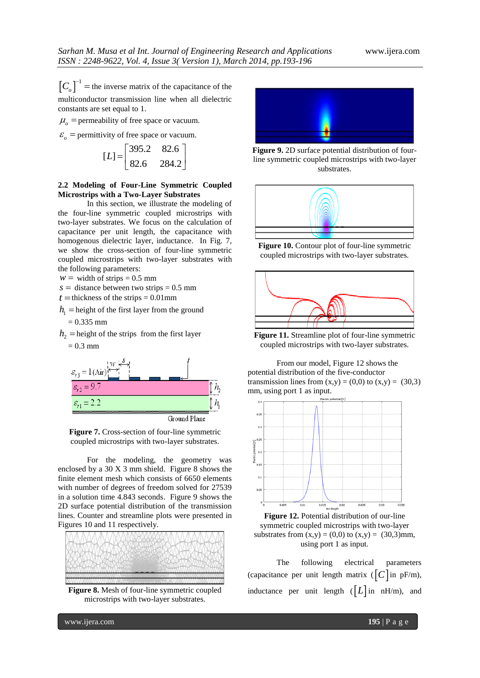$\left[C_o\right]^{-1}$  = the inverse matrix of the capacitance of the multiconductor transmission line when all dielectric constants are set equal to 1.

 $\mu_o$  = permeability of free space or vacuum.

 $\varepsilon_o$  = permittivity of free space or vacuum.

$$
[L] = \begin{bmatrix} 395.2 & 82.6 \\ 82.6 & 284.2 \end{bmatrix}
$$

## **2.2 Modeling of Four-Line Symmetric Coupled Microstrips with a Two-Layer Substrates**

In this section, we illustrate the modeling of the four-line symmetric coupled microstrips with two-layer substrates. We focus on the calculation of capacitance per unit length, the capacitance with homogenous dielectric layer, inductance. In Fig. 7, we show the cross-section of four-line symmetric coupled microstrips with two-layer substrates with the following parameters:

 $w = \text{width of strips} = 0.5 \text{ mm}$ 

 $s =$  distance between two strips = 0.5 mm

 $t =$  thickness of the strips =  $0.01$  mm

- $h_1$  = height of the first layer from the ground  $= 0.335$  mm
- $h_2$  = height of the strips from the first layer

 $= 0.3$  mm



**Figure 7.** Cross-section of four-line symmetric coupled microstrips with two-layer substrates.

For the modeling, the geometry was enclosed by a 30 X 3 mm shield. Figure 8 shows the finite element mesh which consists of 6650 elements with number of degrees of freedom solved for 27539 in a solution time 4.843 seconds. Figure 9 shows the 2D surface potential distribution of the transmission lines. Counter and streamline plots were presented in Figures 10 and 11 respectively.



**Figure 8.** Mesh of four-line symmetric coupled microstrips with two-layer substrates.



**Figure 9.** 2D surface potential distribution of fourline symmetric coupled microstrips with two-layer substrates.



**Figure 10.** Contour plot of four-line symmetric coupled microstrips with two-layer substrates.



**Figure 11.** Streamline plot of four-line symmetric coupled microstrips with two-layer substrates.

From our model, Figure 12 shows the potential distribution of the five-conductor transmission lines from  $(x,y) = (0,0)$  to  $(x,y) = (30,3)$ mm, using port 1 as input.



symmetric coupled microstrips with two-layer substrates from  $(x,y) = (0,0)$  to  $(x,y) = (30,3)$ mm, using port 1 as input.

The following electrical parameters (capacitance per unit length matrix  $\left( \begin{bmatrix} C \end{bmatrix}$  in pF/m), inductance per unit length  $([L]$  in nH/m), and

www.ijera.com **195** | P a g e